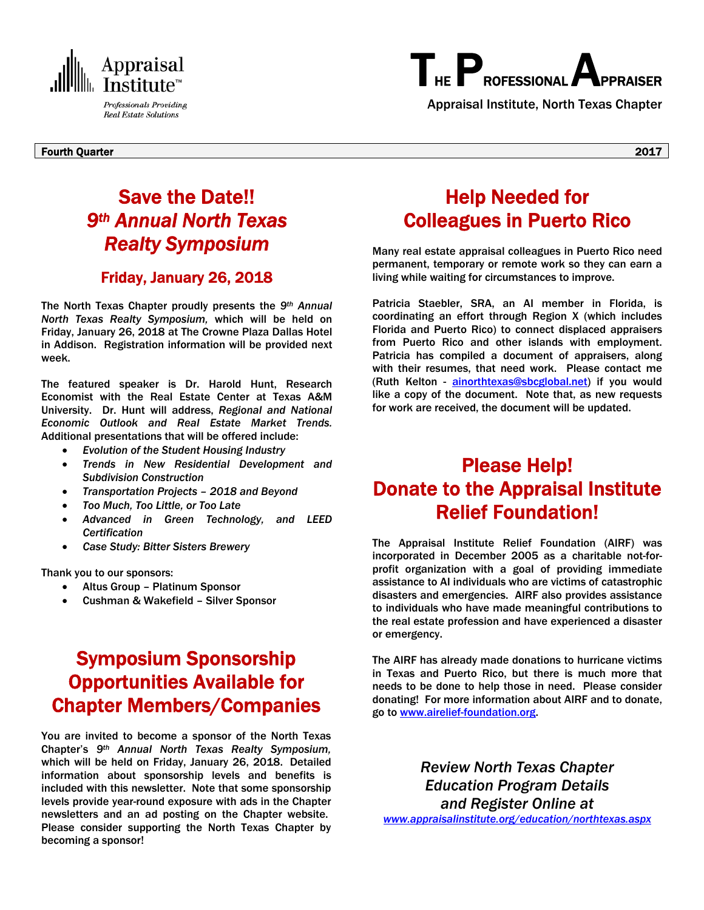

# THE **PROFESSIONAL**

Professionals Providing **Appraisal Institute, North Texas Chapter** Real Estate Solutions

Fourth Quarter 2017

## Save the Date!! *9th Annual North Texas Realty Symposium*

### Friday, January 26, 2018

The North Texas Chapter proudly presents the *9th Annual North Texas Realty Symposium,* which will be held on Friday, January 26, 2018 at The Crowne Plaza Dallas Hotel in Addison. Registration information will be provided next week.

The featured speaker is Dr. Harold Hunt, Research Economist with the Real Estate Center at Texas A&M University. Dr. Hunt will address, *Regional and National Economic Outlook and Real Estate Market Trends.*  Additional presentations that will be offered include:

- *Evolution of the Student Housing Industry*
- *Trends in New Residential Development and Subdivision Construction*
- *Transportation Projects 2018 and Beyond*
- *Too Much, Too Little, or Too Late*
- *Advanced in Green Technology, and LEED Certification*
- *Case Study: Bitter Sisters Brewery*

Thank you to our sponsors:

- Altus Group Platinum Sponsor
- Cushman & Wakefield Silver Sponsor

## Symposium Sponsorship Opportunities Available for Chapter Members/Companies

You are invited to become a sponsor of the North Texas Chapter's *9th Annual North Texas Realty Symposium,*  which will be held on Friday, January 26, 2018. Detailed information about sponsorship levels and benefits is included with this newsletter. Note that some sponsorship levels provide year-round exposure with ads in the Chapter newsletters and an ad posting on the Chapter website. Please consider supporting the North Texas Chapter by becoming a sponsor!

### Help Needed for Colleagues in Puerto Rico

Many real estate appraisal colleagues in Puerto Rico need permanent, temporary or remote work so they can earn a living while waiting for circumstances to improve.

Patricia Staebler, SRA, an AI member in Florida, is coordinating an effort through Region X (which includes Florida and Puerto Rico) to connect displaced appraisers from Puerto Rico and other islands with employment. Patricia has compiled a document of appraisers, along with their resumes, that need work. Please contact me (Ruth Kelton - ainorthtexas@sbcglobal.net) if you would like a copy of the document. Note that, as new requests for work are received, the document will be updated.

### Please Help! Donate to the Appraisal Institute Relief Foundation!

The Appraisal Institute Relief Foundation (AIRF) was incorporated in December 2005 as a charitable not-forprofit organization with a goal of providing immediate assistance to AI individuals who are victims of catastrophic disasters and emergencies. AIRF also provides assistance to individuals who have made meaningful contributions to the real estate profession and have experienced a disaster or emergency.

The AIRF has already made donations to hurricane victims in Texas and Puerto Rico, but there is much more that needs to be done to help those in need. Please consider donating! For more information about AIRF and to donate, go to www.airelief-foundation.org.

*Review North Texas Chapter Education Program Details and Register Online at www.appraisalinstitute.org/education/northtexas.aspx*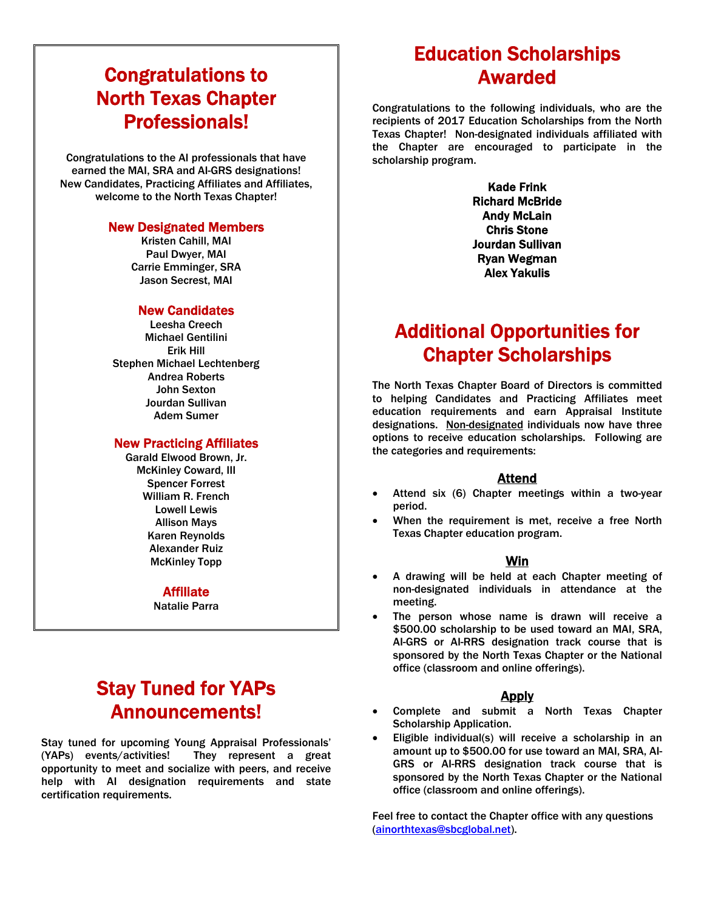# Congratulations to North Texas Chapter **Professionals!**<br>
Congratulations to the AI professionals that have

earned the MAI, SRA and AI-GRS designations! New Candidates, Practicing Affiliates and Affiliates, welcome to the North Texas Chapter!

#### New Designated Members

Kristen Cahill, MAI Paul Dwyer, MAI Carrie Emminger, SRA Jason Secrest, MAI

### New Candidates

Leesha Creech Michael Gentilini Erik Hill Stephen Michael Lechtenberg Andrea Roberts John Sexton Jourdan Sullivan Adem Sumer

#### New Practicing Affiliates

Garald Elwood Brown, Jr. McKinley Coward, III Spencer Forrest William R. French Lowell Lewis Allison Mays Karen Reynolds Alexander Ruiz McKinley Topp

#### Affiliate

Natalie Parra

### Stay Tuned for YAPs Announcements!

Stay tuned for upcoming Young Appraisal Professionals' (YAPs) events/activities! They represent a great opportunity to meet and socialize with peers, and receive help with AI designation requirements and state certification requirements.

# Education Scholarships Awarded

Congratulations to the following individuals, who are the recipients of 2017 Education Scholarships from the North Texas Chapter! Non-designated individuals affiliated with the Chapter are encouraged to participate in the scholarship program.

> Kade Frink Richard McBride Andy McLain Chris Stone Jourdan Sullivan Ryan Wegman Alex Yakulis

### Additional Opportunities for Chapter Scholarships

The North Texas Chapter Board of Directors is committed to helping Candidates and Practicing Affiliates meet education requirements and earn Appraisal Institute designations. Non-designated individuals now have three options to receive education scholarships. Following are the categories and requirements:

#### Attend

- Attend six (6) Chapter meetings within a two-year period.
- When the requirement is met, receive a free North Texas Chapter education program.

### Win

- A drawing will be held at each Chapter meeting of non-designated individuals in attendance at the meeting.
- The person whose name is drawn will receive a \$500.00 scholarship to be used toward an MAI, SRA, AI-GRS or AI-RRS designation track course that is sponsored by the North Texas Chapter or the National office (classroom and online offerings).

### Apply

- Complete and submit a North Texas Chapter Scholarship Application.
- Eligible individual(s) will receive a scholarship in an amount up to \$500.00 for use toward an MAI, SRA, AI-GRS or AI-RRS designation track course that is sponsored by the North Texas Chapter or the National office (classroom and online offerings).

Feel free to contact the Chapter office with any questions (ainorthtexas@sbcglobal.net).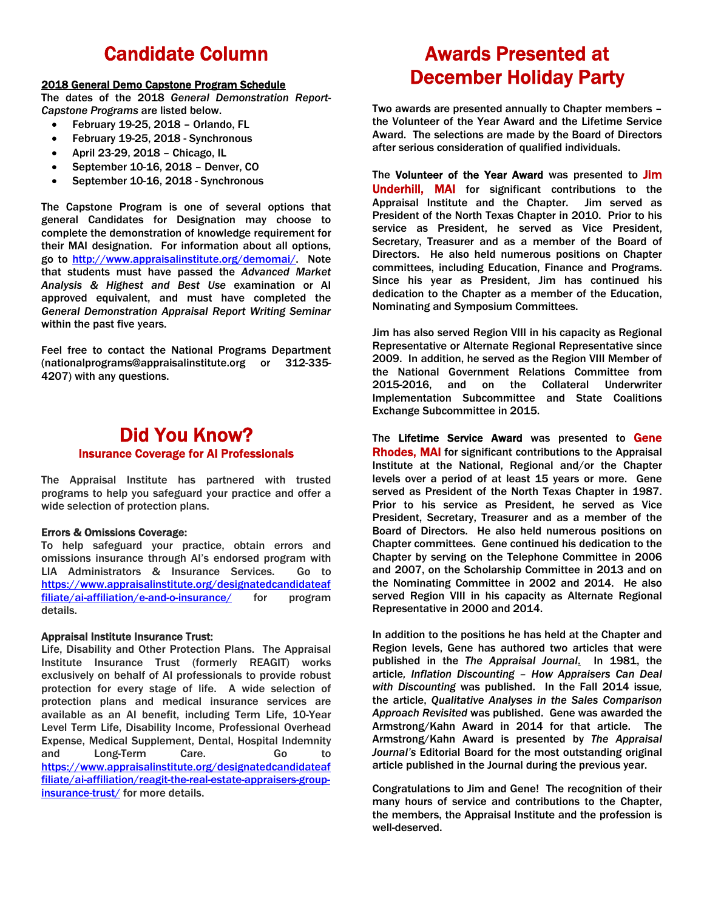### Candidate Column

#### 2018 General Demo Capstone Program Schedule

The dates of the 2018 *General Demonstration Report-Capstone Programs* are listed below.

- February 19-25, 2018 Orlando, FL
- February 19-25, 2018 Synchronous
- April 23-29, 2018 Chicago, IL
- September 10-16, 2018 Denver, CO
- September 10-16, 2018 Synchronous

The Capstone Program is one of several options that general Candidates for Designation may choose to complete the demonstration of knowledge requirement for their MAI designation. For information about all options, go to http://www.appraisalinstitute.org/demomai/. Note that students must have passed the *Advanced Market Analysis & Highest and Best Use* examination or AI approved equivalent, and must have completed the *General Demonstration Appraisal Report Writing Seminar* within the past five years.

Feel free to contact the National Programs Department (nationalprograms@appraisalinstitute.org or 312-335- 4207) with any questions.

### Did You Know? Insurance Coverage for AI Professionals

The Appraisal Institute has partnered with trusted programs to help you safeguard your practice and offer a wide selection of protection plans.

#### Errors & Omissions Coverage:

To help safeguard your practice, obtain errors and omissions insurance through AI's endorsed program with LIA Administrators & Insurance Services. Go to https://www.appraisalinstitute.org/designatedcandidateaf filiate/ai-affiliation/e-and-o-insurance/ for program details.

#### Appraisal Institute Insurance Trust:

Life, Disability and Other Protection Plans. The Appraisal Institute Insurance Trust (formerly REAGIT) works exclusively on behalf of AI professionals to provide robust protection for every stage of life. A wide selection of protection plans and medical insurance services are available as an AI benefit, including Term Life, 10-Year Level Term Life, Disability Income, Professional Overhead Expense, Medical Supplement, Dental, Hospital Indemnity and Long-Term Care. Go to https://www.appraisalinstitute.org/designatedcandidateaf filiate/ai-affiliation/reagit-the-real-estate-appraisers-groupinsurance-trust/ for more details.

## Awards Presented at December Holiday Party

Two awards are presented annually to Chapter members – the Volunteer of the Year Award and the Lifetime Service Award. The selections are made by the Board of Directors after serious consideration of qualified individuals.

The Volunteer of the Year Award was presented to Jim Underhill, MAI for significant contributions to the Appraisal Institute and the Chapter. Jim served as President of the North Texas Chapter in 2010. Prior to his service as President, he served as Vice President, Secretary, Treasurer and as a member of the Board of Directors. He also held numerous positions on Chapter committees, including Education, Finance and Programs. Since his year as President, Jim has continued his dedication to the Chapter as a member of the Education, Nominating and Symposium Committees.

Jim has also served Region VIII in his capacity as Regional Representative or Alternate Regional Representative since 2009. In addition, he served as the Region VIII Member of the National Government Relations Committee from 2015-2016, and on the Collateral Underwriter Implementation Subcommittee and State Coalitions Exchange Subcommittee in 2015.

The Lifetime Service Award was presented to Gene Rhodes, MAI for significant contributions to the Appraisal Institute at the National, Regional and/or the Chapter levels over a period of at least 15 years or more. Gene served as President of the North Texas Chapter in 1987. Prior to his service as President, he served as Vice President, Secretary, Treasurer and as a member of the Board of Directors. He also held numerous positions on Chapter committees. Gene continued his dedication to the Chapter by serving on the Telephone Committee in 2006 and 2007, on the Scholarship Committee in 2013 and on the Nominating Committee in 2002 and 2014. He also served Region VIII in his capacity as Alternate Regional Representative in 2000 and 2014.

In addition to the positions he has held at the Chapter and Region levels, Gene has authored two articles that were published in the *The Appraisal Journal*. In 1981, the article*, Inflation Discounting – How Appraisers Can Deal with Discounting* was published. In the Fall 2014 issue*,*  the article, *Qualitative Analyses in the Sales Comparison Approach Revisited* was published. Gene was awarded the Armstrong/Kahn Award in 2014 for that article. The Armstrong/Kahn Award is presented by *The Appraisal Journal's* Editorial Board for the most outstanding original article published in the Journal during the previous year.

Congratulations to Jim and Gene! The recognition of their many hours of service and contributions to the Chapter, the members, the Appraisal Institute and the profession is well-deserved.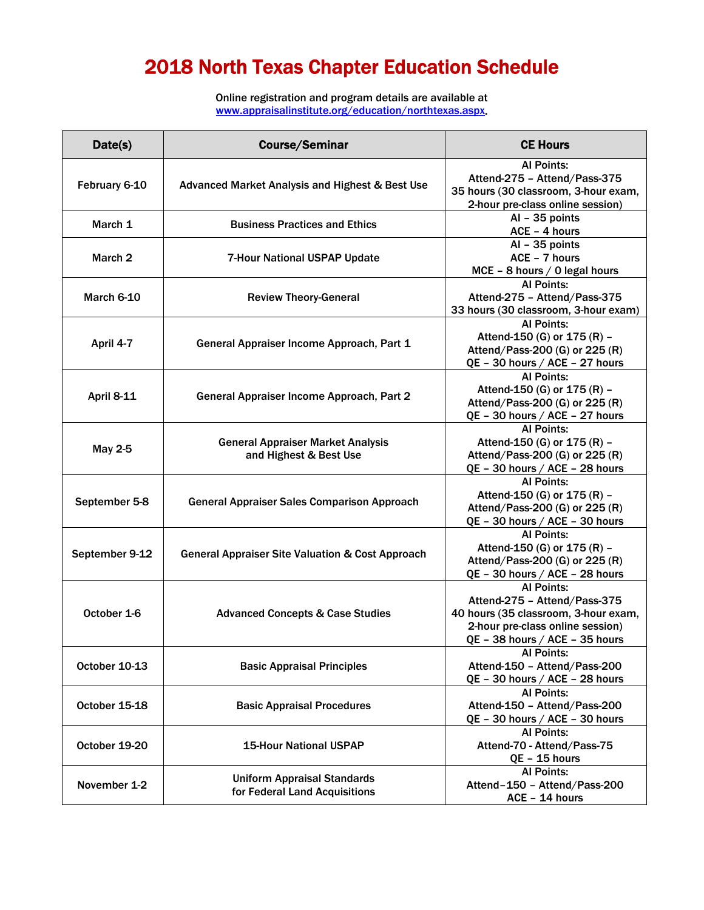# 2018 North Texas Chapter Education Schedule

Online registration and program details are available at www.appraisalinstitute.org/education/northtexas.aspx.

| Date(s)           | <b>Course/Seminar</b>                                                                                     | <b>CE Hours</b>                                                                                                                                                 |
|-------------------|-----------------------------------------------------------------------------------------------------------|-----------------------------------------------------------------------------------------------------------------------------------------------------------------|
| February 6-10     | Advanced Market Analysis and Highest & Best Use                                                           | <b>Al Points:</b><br>Attend-275 - Attend/Pass-375<br>35 hours (30 classroom, 3-hour exam,<br>2-hour pre-class online session)                                   |
| March 1           | <b>Business Practices and Ethics</b>                                                                      | $AI - 35$ points<br>ACE - 4 hours                                                                                                                               |
| March 2           | $AI - 35$ points<br>ACE - 7 hours<br><b>7-Hour National USPAP Update</b><br>MCE - 8 hours / 0 legal hours |                                                                                                                                                                 |
| March 6-10        | <b>Review Theory-General</b>                                                                              | <b>Al Points:</b><br>Attend-275 - Attend/Pass-375<br>33 hours (30 classroom, 3-hour exam)                                                                       |
| April 4-7         | General Appraiser Income Approach, Part 1                                                                 | <b>Al Points:</b><br>Attend-150 (G) or 175 (R) -<br>Attend/Pass-200 (G) or 225 (R)<br>QE - 30 hours / ACE - 27 hours                                            |
| <b>April 8-11</b> | General Appraiser Income Approach, Part 2                                                                 | <b>Al Points:</b><br>Attend-150 (G) or 175 (R) -<br>Attend/Pass-200 (G) or 225 (R)<br>QE - 30 hours / ACE - 27 hours                                            |
| <b>May 2-5</b>    | <b>General Appraiser Market Analysis</b><br>and Highest & Best Use                                        | <b>Al Points:</b><br>Attend-150 (G) or 175 (R) -<br>Attend/Pass-200 (G) or 225 (R)<br>QE - 30 hours / ACE - 28 hours                                            |
| September 5-8     | <b>General Appraiser Sales Comparison Approach</b>                                                        | <b>Al Points:</b><br>Attend-150 (G) or 175 (R) -<br>Attend/Pass-200 (G) or 225 (R)<br>QE - 30 hours / ACE - 30 hours                                            |
| September 9-12    | <b>General Appraiser Site Valuation &amp; Cost Approach</b>                                               | <b>Al Points:</b><br>Attend-150 (G) or 175 (R) -<br>Attend/Pass-200 (G) or 225 (R)<br>QE - 30 hours / ACE - 28 hours                                            |
| October 1-6       | <b>Advanced Concepts &amp; Case Studies</b>                                                               | <b>Al Points:</b><br>Attend-275 - Attend/Pass-375<br>40 hours (35 classroom, 3-hour exam,<br>2-hour pre-class online session)<br>QE - 38 hours / ACE - 35 hours |
| October 10-13     | <b>Basic Appraisal Principles</b>                                                                         | <b>Al Points:</b><br>Attend-150 - Attend/Pass-200<br>QE - 30 hours / ACE - 28 hours                                                                             |
| October 15-18     | <b>Basic Appraisal Procedures</b>                                                                         | <b>Al Points:</b><br>Attend-150 - Attend/Pass-200<br>QE - 30 hours / ACE - 30 hours                                                                             |
| October 19-20     | <b>15-Hour National USPAP</b>                                                                             | <b>Al Points:</b><br>Attend-70 - Attend/Pass-75<br>QE - 15 hours                                                                                                |
| November 1-2      | <b>Uniform Appraisal Standards</b><br>for Federal Land Acquisitions                                       | <b>Al Points:</b><br>Attend-150 - Attend/Pass-200<br>ACE - 14 hours                                                                                             |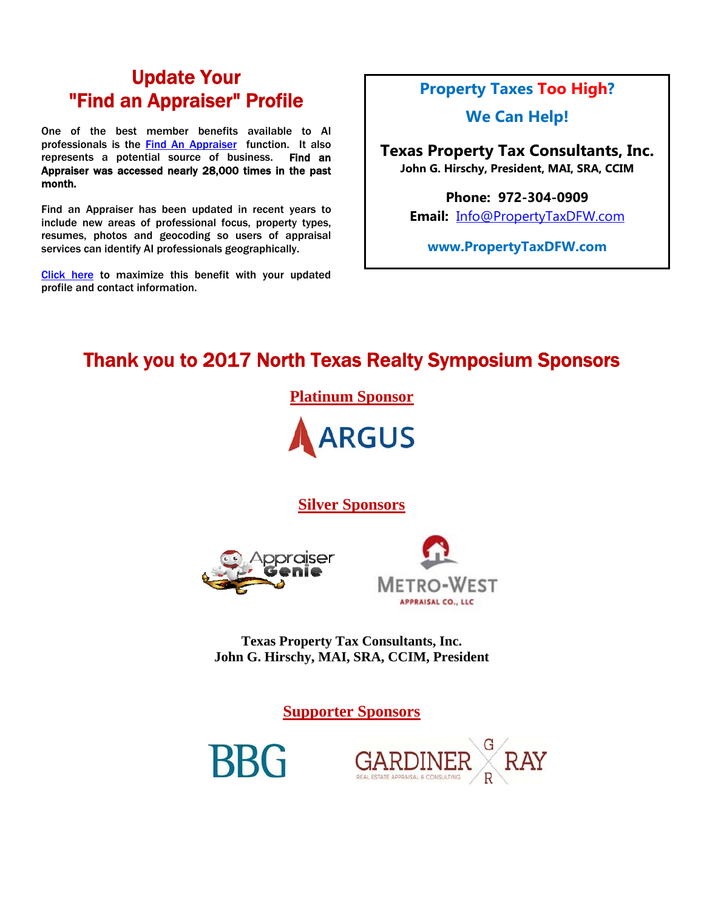### Update Your "Find an Appraiser" Profile

One of the best member benefits available to AI professionals is the Find An Appraiser function. It also represents a potential source of business. Find an Appraiser was accessed nearly 28,000 times in the past month.

Find an Appraiser has been updated in recent years to include new areas of professional focus, property types, resumes, photos and geocoding so users of appraisal services can identify AI professionals geographically.

Click here to maximize this benefit with your updated profile and contact information.

### **Property Taxes Too High?**

**We Can Help!** 

**Texas Property Tax Consultants, Inc. John G. Hirschy, President, MAI, SRA, CCIM** 

> **Phone: 972-304-0909 Email:** Info@PropertyTaxDFW.com

**www.PropertyTaxDFW.com** 

# Thank you to 2017 North Texas Realty Symposium Sponsors

**Platinum Sponsor** 



**Silver Sponsors**





**Texas Property Tax Consultants, Inc. John G. Hirschy, MAI, SRA, CCIM, President** 

**Supporter Sponsors**